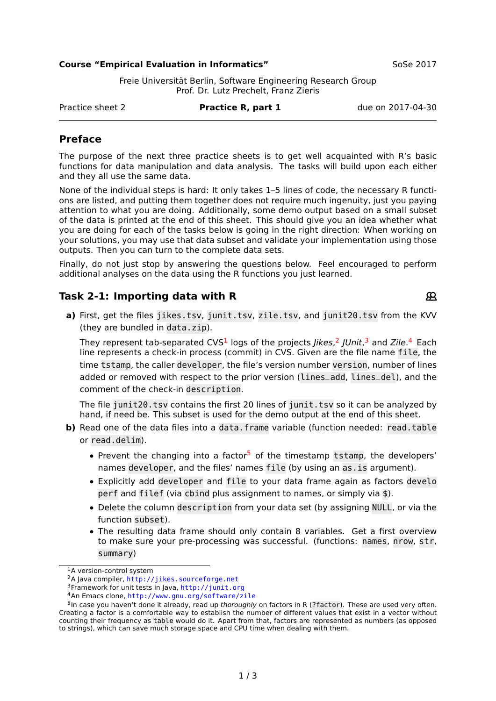#### **Course "Empirical Evaluation in Informatics"** SoSe 2017

 $\mathfrak{R}$ 

Freie Universität Berlin, Software Engineering Research Group Prof. Dr. Lutz Prechelt, Franz Zieris

Practice sheet 2 **Practice R, part 1** due on 2017-04-30

# **Preface**

The purpose of the next three practice sheets is to get well acquainted with R's basic functions for data manipulation and data analysis. The tasks will build upon each either and they all use the same data.

None of the individual steps is hard: It only takes 1–5 lines of code, the necessary R functions are listed, and putting them together does not require much ingenuity, just you paying attention to what you are doing. Additionally, some demo output based on a small subset of the data is printed at the end of this sheet. This should give you an idea whether what you are doing for each of the tasks below is going in the right direction: When working on your solutions, you may use that data subset and validate your implementation using those outputs. Then you can turn to the complete data sets.

Finally, do not just stop by answering the questions below. Feel encouraged to perform additional analyses on the data using the R functions you just learned.

# **Task 2-1: Importing data with R**

**a)** First, get the files jikes.tsv, junit.tsv, zile.tsv, and junit20.tsv from the KVV (they are bundled in data.zip).

They represent tab-separated CVS<sup>[1](#page-0-0)</sup> logs of the projects *Jikes*,<sup>[2](#page-0-1)</sup> JUnit,<sup>[3](#page-0-2)</sup> and Zile.<sup>[4](#page-0-3)</sup> Each line represents a check-in process (commit) in CVS. Given are the file name file, the time tstamp, the caller developer, the file's version number version, number of lines added or removed with respect to the prior version (lines\_add, lines\_del), and the comment of the check-in description.

The file junit20.tsv contains the first 20 lines of junit.tsv so it can be analyzed by hand, if need be. This subset is used for the demo output at the end of this sheet.

- **b)** Read one of the data files into a data.frame variable (function needed: read.table or read.delim).
	- Prevent the changing into a factor<sup>[5](#page-0-4)</sup> of the timestamp tstamp, the developers' names developer, and the files' names file (by using an as.is argument).
	- **•** Explicitly add developer and file to your data frame again as factors develo perf and filef (via cbind plus assignment to names, or simply via \$).
	- **•** Delete the column description from your data set (by assigning NULL, or via the function subset).
	- **•** The resulting data frame should only contain 8 variables. Get a first overview to make sure your pre-processing was successful. (functions: names, nrow, str, summary)

<span id="page-0-0"></span><sup>1</sup>A version-control system

<span id="page-0-1"></span><sup>2</sup>A Java compiler, <http://jikes.sourceforge.net>

<span id="page-0-2"></span><sup>3</sup>Framework for unit tests in Java, <http://junit.org>

<span id="page-0-4"></span><span id="page-0-3"></span><sup>4</sup>An Emacs clone, <http://www.gnu.org/software/zile>

<sup>&</sup>lt;sup>5</sup>In case you haven't done it already, read up thoroughly on factors in R (?factor). These are used very often. Creating a factor is a comfortable way to establish the number of different values that exist in a vector without counting their frequency as table would do it. Apart from that, factors are represented as numbers (as opposed to strings), which can save much storage space and CPU time when dealing with them.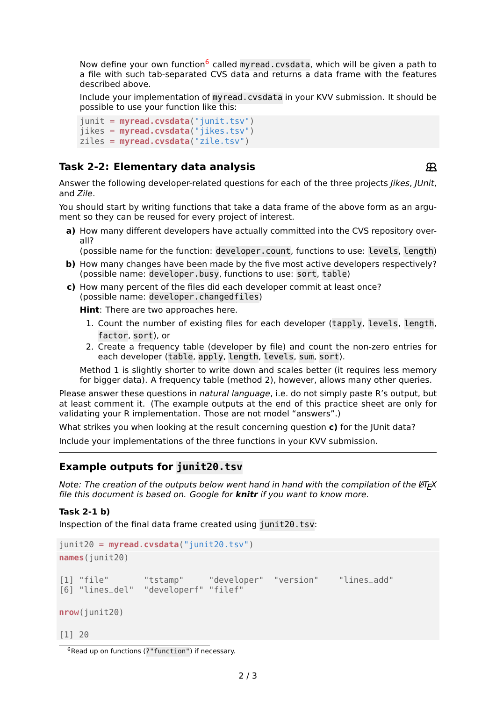Now define your own function<sup>[6](#page-1-0)</sup> called myread.cvsdata, which will be given a path to a file with such tab-separated CVS data and returns a data frame with the features described above.

Include your implementation of myread.cvsdata in your KVV submission. It should be possible to use your function like this:

```
junit = myread.cvsdata("junit.tsv")
jikes = myread.cvsdata("jikes.tsv")
ziles = myread.cvsdata("zile.tsv")
```
# **Task 2-2: Elementary data analysis**

Answer the following developer-related questions for each of the three projects Jikes, JUnit, and Zile.

You should start by writing functions that take a data frame of the above form as an argument so they can be reused for every project of interest.

**a)** How many different developers have actually committed into the CVS repository overall?

(possible name for the function: developer.count, functions to use: levels, length)

- **b**) How many changes have been made by the five most active developers respectively? (possible name: developer.busy, functions to use: sort, table)
- **c)** How many percent of the files did each developer commit at least once? (possible name: developer.changedfiles)

**Hint**: There are two approaches here.

- 1. Count the number of existing files for each developer (tapply, levels, length, factor, sort), or
- 2. Create a frequency table (developer by file) and count the non-zero entries for each developer (table, apply, length, levels, sum, sort).

Method 1 is slightly shorter to write down and scales better (it requires less memory for bigger data). A frequency table (method 2), however, allows many other queries.

Please answer these questions in natural language, i.e. do not simply paste R's output, but at least comment it. (The example outputs at the end of this practice sheet are only for validating your R implementation. Those are not model "answers".)

What strikes you when looking at the result concerning question **c)** for the JUnit data?

Include your implementations of the three functions in your KVV submission.

# **Example outputs for junit20.tsv**

Note: The creation of the outputs below went hand in hand with the compilation of the  $ETr X$ file this document is based on. Google for **knitr** if you want to know more.

### **Task 2-1 b)**

Inspection of the final data frame created using junit20.tsv:

```
junit20 = myread.cvsdata("junit20.tsv")
names(junit20)
[1] "file" "tstamp" "developer" "version" "lines_add"
                "developerf" "filef"
nrow(junit20)
[1] 20
```
 $\mathfrak{P}$ 

<span id="page-1-0"></span> $6$ Read up on functions (?" function") if necessary.